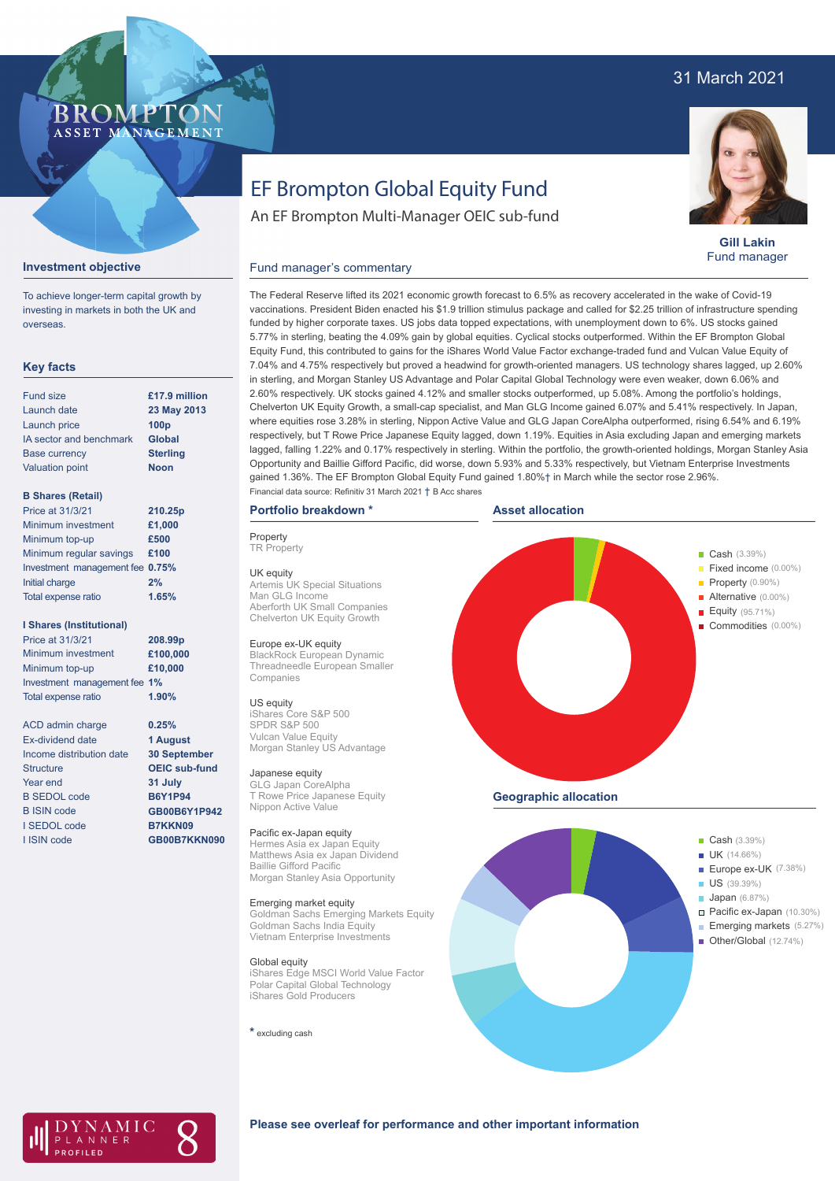## 31 March 2021

## **BROMP** ASSET MANAGEMENT

# EF Brompton Global Equity Fund

An EF Brompton Multi-Manager OEIC sub-fund



**Gill Lakin** Fund manager

#### Fund manager's commentary



To achieve longer-term capital growth by investing in markets in both the UK and overseas.

### **Key facts**

| <b>Fund size</b>        | £17.9 million    |
|-------------------------|------------------|
| Launch date             | 23 May 2013      |
| Launch price            | 100 <sub>p</sub> |
| IA sector and benchmark | <b>Global</b>    |
| <b>Base currency</b>    | <b>Sterling</b>  |
| <b>Valuation point</b>  | <b>Noon</b>      |
|                         |                  |

#### **B Shares (Retail)**

| Price at 31/3/21                | 210.25p |
|---------------------------------|---------|
| Minimum investment              | £1,000  |
| Minimum top-up                  | £500    |
| Minimum regular savings         | £100    |
| Investment management fee 0.75% |         |
| Initial charge                  | 2%      |
| Total expense ratio             | 1.65%   |
|                                 |         |

#### **I Shares (Institutional)**

| Price at 31/3/21             | 208.99 <sub>p</sub> |
|------------------------------|---------------------|
| Minimum investment           | £100,000            |
| Minimum top-up               | £10,000             |
| Investment management fee 1% |                     |
| <b>Total expense ratio</b>   | 1.90%               |

ACD admin charge Ex-dividend date Income distribution date Structure Year end B SEDOL code B ISIN code I SEDOL code I ISIN code

**0.25% 1 August 30 September OEIC sub-fund 31 July B6Y1P94 GB00B6Y1P942 B7KKN09 GB00B7KKN090** vaccinations. President Biden enacted his \$1.9 trillion stimulus package and called for \$2.25 trillion of infrastructure spending funded by higher corporate taxes. US jobs data topped expectations, with unemployment down to 6%. US stocks gained 5.77% in sterling, beating the 4.09% gain by global equities. Cyclical stocks outperformed. Within the EF Brompton Global Equity Fund, this contributed to gains for the iShares World Value Factor exchange-traded fund and Vulcan Value Equity of 7.04% and 4.75% respectively but proved a headwind for growth-oriented managers. US technology shares lagged, up 2.60% in sterling, and Morgan Stanley US Advantage and Polar Capital Global Technology were even weaker, down 6.06% and 2.60% respectively. UK stocks gained 4.12% and smaller stocks outperformed, up 5.08%. Among the portfolio's holdings, Chelverton UK Equity Growth, a small-cap specialist, and Man GLG Income gained 6.07% and 5.41% respectively. In Japan, where equities rose 3.28% in sterling, Nippon Active Value and GLG Japan CoreAlpha outperformed, rising 6.54% and 6.19% respectively, but T Rowe Price Japanese Equity lagged, down 1.19%. Equities in Asia excluding Japan and emerging markets lagged, falling 1.22% and 0.17% respectively in sterling. Within the portfolio, the growth-oriented holdings, Morgan Stanley Asia Opportunity and Baillie Gifford Pacific, did worse, down 5.93% and 5.33% respectively, but Vietnam Enterprise Investments gained 1.36%. The EF Brompton Global Equity Fund gained 1.80%† in March while the sector rose 2.96%. Financial data source: Refinitiv 31 March 2021 † B Acc shares

The Federal Reserve lifted its 2021 economic growth forecast to 6.5% as recovery accelerated in the wake of Covid-19

#### **Portfolio breakdown \***

**Property TR Property** 

UK equity Artemis UK Special Situations Man GLG Income Aberforth UK Small Companies Chelverton UK Equity Growth

#### Europe ex-UK equity

BlackRock European Dynamic Threadneedle European Smaller Companies

#### US equity

iShares Core S&P 500 SPDR S&P 500 Vulcan Value Equity Morgan Stanley US Advantage

#### Japanese equity

GLG Japan CoreAlpha T Rowe Price Japanese Equity Nippon Active Value

#### Pacific ex-Japan equity

Hermes Asia ex Japan Equity Matthews Asia ex Japan Dividend Baillie Gifford Pacific Morgan Stanley Asia Opportunity

#### Emerging market equity

Goldman Sachs Emerging Markets Equity Goldman Sachs India Equity Vietnam Enterprise Investments

#### Global equity

iShares Edge MSCI World Value Factor Polar Capital Global Technology iShares Gold Producers

**\*** excluding cash







## **Please see overleaf for performance and other important information**

ł